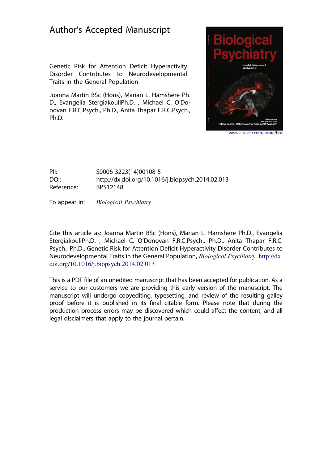### Author's Accepted Manuscript

Genetic Risk for Attention Deficit Hyperactivity Disorder Contributes to Neurodevelopmental Traits in the General Population

Joanna Martin BSc (Hons), Marian L. Hamshere Ph. D., Evangelia StergiakouliPh.D. , Michael C. O'Donovan F.R.C.Psych., Ph.D., Anita Thapar F.R.C.Psych., Ph.D.



www.elsevier.com/locate/bps

#### PII: S0006-3223(14)00108-5 DOI: http://dx.doi.org/10.1016/j.biopsych.2014.02.013 Reference: BPS12148

To appear in: Biological Psychiatry

Cite this article as: Joanna Martin BSc (Hons), Marian L. Hamshere Ph.D., Evangelia StergiakouliPh.D. , Michael C. O'Donovan F.R.C.Psych., Ph.D., Anita Thapar F.R.C. Psych., Ph.D., Genetic Risk for Attention Deficit Hyperactivity Disorder Contributes to Neurodevelopmental Traits in the General Population, Biological Psychiatry, http://dx. doi.org/10.1016/j.biopsych.2014.02.013

This is a PDF file of an unedited manuscript that has been accepted for publication. As a service to our customers we are providing this early version of the manuscript. The manuscript will undergo copyediting, typesetting, and review of the resulting galley proof before it is published in its final citable form. Please note that during the production process errors may be discovered which could affect the content, and all legal disclaimers that apply to the journal pertain.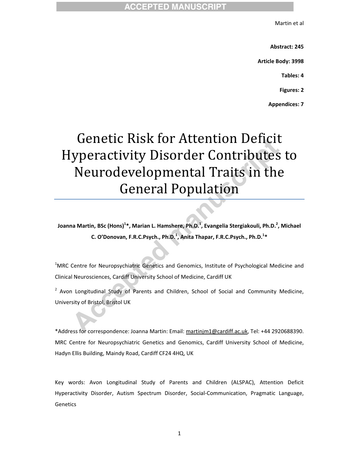Martin et al

**Abstract:-245-**

Article Body: 3998

**Tables:-4-**

**Figures: 2** 

Appendices: 7

## **Genetic Risk for Attention Deficit Hyperactivity Disorder Contributes to** Neurodevelopmental Traits in the **General Population**

 $\blacksquare$ <br>Joanna Martin, BSc (Hons)<sup>1</sup>\*, Marian L. Hamshere, Ph.D.<sup>1</sup>, Evangelia Stergiakouli, Ph.D.<sup>2</sup>, Michael **C. O'Donovan, F.R.C.Psych., Ph.D.<sup>1</sup>, Anita Thapar, F.R.C.Psych., Ph.D.<sup>1</sup>\*** 

<sup>1</sup>MRC Centre for Neuropsychiatric Genetics and Genomics, Institute of Psychological Medicine and Clinical Neurosciences, Cardiff University School of Medicine, Cardiff UK

<sup>2</sup> Avon Longitudinal Study of Parents and Children, School of Social and Community Medicine, University of Bristol, Bristol UK

\*Address for correspondence: Joanna Martin: Email: martinjm1@cardiff.ac.uk, Tel: +44 2920688390. MRC Centre for Neuropsychiatric Genetics and Genomics, Cardiff University School of Medicine, Hadyn Ellis Building, Maindy Road, Cardiff CF24 4HQ, UK

Key words: Avon Longitudinal Study of Parents and Children (ALSPAC), Attention Deficit Hyperactivity Disorder, Autism Spectrum Disorder, Social-Communication, Pragmatic Language, Genetics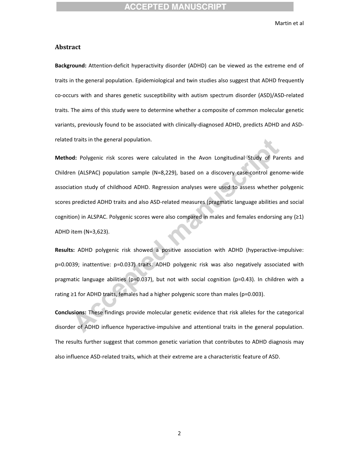Martin et al

#### **Abstract-**

Background: Attention-deficit hyperactivity disorder (ADHD) can be viewed as the extreme end of traits in the general population. Epidemiological and twin studies also suggest that ADHD frequently co-occurs with and shares genetic susceptibility with autism spectrum disorder (ASD)/ASD-related traits. The aims of this study were to determine whether a composite of common molecular genetic variants, previously found to be associated with clinically-diagnosed ADHD, predicts ADHD and ASDrelated traits in the general population.

Method: Polygenic risk scores were calculated in the Avon Longitudinal Study of Parents and Children (ALSPAC) population sample (N=8,229), based on a discovery case-control genome-wide association study of childhood ADHD. Regression analyses were used to assess whether polygenic scores predicted ADHD traits and also ASD-related measures (pragmatic language abilities and social cognition) in ALSPAC. Polygenic scores were also compared in males and females endorsing any  $( \geq 1)$ ADHD item (N=3,623).

Results: ADHD polygenic risk showed a positive association with ADHD (hyperactive-impulsive: p=0.0039; inattentive: p=0.037) traits. ADHD polygenic risk was also negatively associated with pragmatic language abilities (p=0.037), but not with social cognition (p=0.43). In children with a rating ≥1 for ADHD traits, females had a higher polygenic score than males (p=0.003).

Conclusions: These findings provide molecular genetic evidence that risk alleles for the categorical disorder of ADHD influence hyperactive-impulsive and attentional traits in the general population. The results further suggest that common genetic variation that contributes to ADHD diagnosis may also influence ASD-related traits, which at their extreme are a characteristic feature of ASD.

2-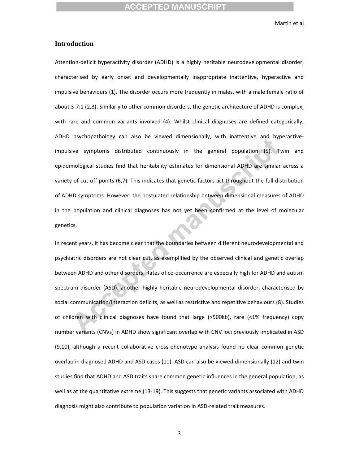#### **Introduction-**

Attention-deficit hyperactivity disorder (ADHD) is a highly heritable neurodevelopmental disorder, characterised by early onset and developmentally inappropriate inattentive, hyperactive and impulsive behaviours (1). The disorder occurs more frequently in males, with a male:female ratio of about 3-7:1 (2,3). Similarly to other common disorders, the genetic architecture of ADHD is complex, with rare and common variants involved (4). Whilst clinical diagnoses are defined categorically, ADHD psychopathology can also be viewed dimensionally, with inattentive and hyperactiveimpulsive symptoms distributed continuously in the general population (5). Twin and epidemiological studies find that heritability estimates for dimensional ADHD are similar across a variety of cut-off points (6,7). This indicates that genetic factors act throughout the full distribution of ADHD symptoms. However, the postulated relationship between dimensional measures of ADHD in the population and clinical diagnoses has not yet been confirmed at the level of molecular genetics.

In recent years, it has become clear that the boundaries between different neurodevelopmental and psychiatric disorders are not clear cut, as exemplified by the observed clinical and genetic overlap between ADHD and other disorders. Rates of co-occurrence are especially high for ADHD and autism spectrum-disorder (ASD), another highly heritable neurodevelopmental disorder, characterised by social communication/interaction deficits, as well as restrictive and repetitive behaviours (8). Studies of children with clinical diagnoses have found that large (>500kb), rare (<1% frequency) copy number variants (CNVs) in ADHD show significant overlap with CNV loci previously implicated in ASD (9,10), although a recent collaborative cross-phenotype analysis found no clear common genetic overlap in diagnosed ADHD and ASD cases (11). ASD can also be viewed dimensionally (12) and twin studies find that ADHD and ASD traits share common genetic influences in the general population, as well as at the quantitative extreme (13-19). This suggests that genetic variants associated with ADHD diagnosis might also contribute to population variation in ASD-related trait measures.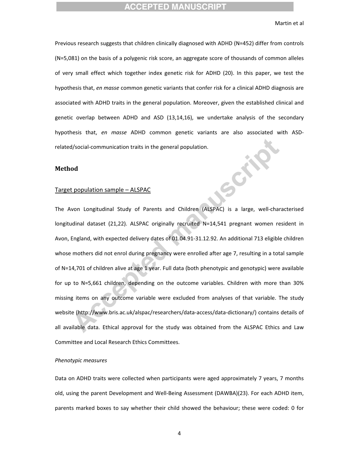#### **CCEPTED MANUSCR**

#### Martin et al

S

Previous research suggests that children clinically diagnosed with ADHD (N=452) differ from controls (N=5,081) on the basis of a polygenic risk score, an aggregate score of thousands of common alleles of very small effect which together index genetic risk for ADHD (20). In this paper, we test the hypothesis that, en masse common genetic variants that confer risk for a clinical ADHD diagnosis are associated with ADHD traits in the general population. Moreover, given the established clinical and genetic overlap between ADHD and ASD (13,14,16), we undertake analysis of the secondary hypothesis that, en masse ADHD common genetic variants are also associated with ASDrelated/social-communication traits in the general population.

#### **Method-**

#### Target population sample - ALSPAC

The Avon Longitudinal Study of Parents and Children (ALSPAC) is a large, well-characterised longitudinal dataset (21,22). ALSPAC originally recruited N=14,541 pregnant women resident in Avon, England, with expected delivery dates of 01.04.91-31.12.92. An additional 713 eligible children whose mothers did not enrol during pregnancy were enrolled after age 7, resulting in a total sample of N=14,701 of children alive at age 1 year. Full data (both phenotypic and genotypic) were available for up to N=5,661 children, depending on the outcome variables. Children with more than 30% missing items on any outcome variable were excluded from analyses of that variable. The study website (http://www.bris.ac.uk/alspac/researchers/data-access/data-dictionary/) contains details of all available data. Ethical approval for the study was obtained from the ALSPAC Ethics and Law Committee and Local Research Ethics Committees.

#### *Phenotypic-measures-*

Data on ADHD traits were collected when participants were aged approximately 7 years, 7 months old, using the parent Development and Well-Being Assessment (DAWBA)(23). For each ADHD item, parents marked boxes to say whether their child showed the behaviour; these were coded: 0 for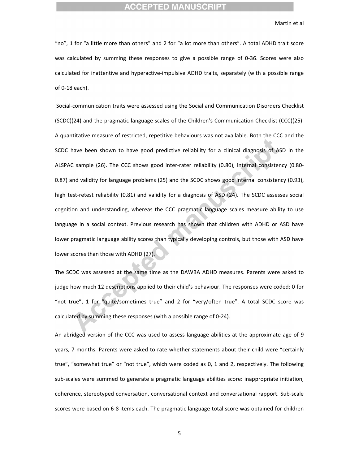#### **CCEPTED MANUSCRI**I

#### Martin et al

"no", 1 for "a little more than others" and 2 for "a lot more than others". A total ADHD trait score was calculated by summing these responses to give a possible range of 0-36. Scores were also calculated for inattentive and hyperactive-impulsive ADHD traits, separately (with a possible range of 0-18 each).

Social-communication traits were assessed using the Social and Communication Disorders Checklist (SCDC)(24) and the pragmatic language scales of the Children's Communication Checklist (CCC)(25). A quantitative measure of restricted, repetitive behaviours was not available. Both the CCC and the SCDC have been shown to have good predictive reliability for a clinical diagnosis of ASD in the ALSPAC sample (26). The CCC shows good inter-rater reliability (0.80), internal consistency (0.80-0.87) and validity for language problems (25) and the SCDC shows good internal consistency (0.93), high test-retest reliability (0.81) and validity for a diagnosis of ASD (24). The SCDC assesses social cognition and understanding, whereas the CCC pragmatic language scales measure ability to use language in a social context. Previous research has shown that children with ADHD or ASD have lower pragmatic language ability scores than typically developing controls, but those with ASD have lower scores than those with ADHD (27). -

The SCDC was assessed at the same time as the DAWBA ADHD measures. Parents were asked to judge how much 12 descriptions applied to their child's behaviour. The responses were coded: 0 for "not true", 1 for "quite/sometimes true" and 2 for "very/often true". A total SCDC score was calculated by summing these responses (with a possible range of 0-24).

An abridged version of the CCC was used to assess language abilities at the approximate age of 9 years, 7 months. Parents were asked to rate whether statements about their child were "certainly true", "somewhat true" or "not true", which were coded as 0, 1 and 2, respectively. The following sub-scales were summed to generate a pragmatic language abilities score: inappropriate initiation, coherence, stereotyped conversation, conversational context and conversational rapport. Sub-scale scores were based on 6-8 items each. The pragmatic language total score was obtained for children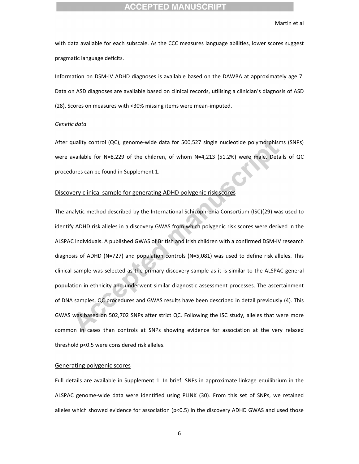#### **CEPTED MANUSCR**

#### Martin et al

with data available for each subscale. As the CCC measures language abilities, lower scores suggest pragmatic language deficits.

Information on DSM-IV ADHD diagnoses is available based on the DAWBA at approximately age 7. Data on ASD diagnoses are available based on clinical records, utilising a clinician's diagnosis of ASD (28). Scores on measures with < 30% missing items were mean-imputed.

#### *Genetic-data-*

After quality control (QC), genome-wide data for 500,527 single nucleotide polymorphisms (SNPs) were available for N=8,229 of the children, of whom N=4,213 (51.2%) were male. Details of QC procedures can be found in Supplement 1.

#### Discovery clinical sample for generating ADHD polygenic risk scores

The analytic method described by the International Schizophrenia Consortium (ISC)(29) was used to identify ADHD risk alleles in a discovery GWAS from which polygenic risk scores were derived in the ALSPAC individuals. A published GWAS of British and Irish children with a confirmed DSM-IV research diagnosis of ADHD (N=727) and population controls (N=5,081) was used to define risk alleles. This clinical sample was selected as the primary discovery sample as it is similar to the ALSPAC general population in ethnicity and underwent similar diagnostic assessment processes. The ascertainment of DNA samples, QC procedures and GWAS results have been described in detail previously (4). This GWAS was based on 502,702 SNPs after strict QC. Following the ISC study, alleles that were more common in cases than controls at SNPs showing evidence for association at the very relaxed threshold p<0.5 were considered risk alleles.

#### Generating polygenic scores

Full details are available in Supplement 1. In brief, SNPs in approximate linkage equilibrium in the ALSPAC genome-wide data were identified using PLINK (30). From this set of SNPs, we retained alleles which showed evidence for association (p<0.5) in the discovery ADHD GWAS and used those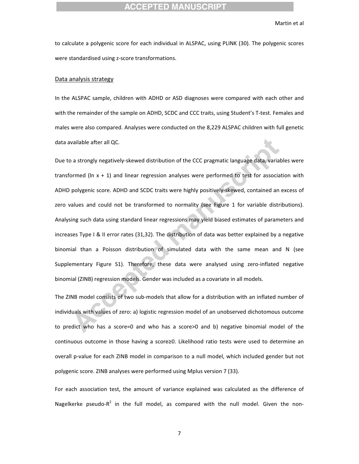#### **CCEPTED MANUSCR**

#### Martin et al

to calculate a polygenic score for each individual in ALSPAC, using PLINK (30). The polygenic scores were standardised using z-score transformations.

#### Data analysis strategy

In the ALSPAC sample, children with ADHD or ASD diagnoses were compared with each other and with the remainder of the sample on ADHD, SCDC and CCC traits, using Student's T-test. Females and males were also compared. Analyses were conducted on the 8,229 ALSPAC children with full genetic data available after all QC.

Due to a strongly negatively-skewed distribution of the CCC pragmatic language data, variables were transformed (In  $x + 1$ ) and linear regression analyses were performed to test for association with ADHD polygenic score. ADHD and SCDC traits were highly positively-skewed, contained an excess of zero-values and could not be transformed to normality (see Figure 1 for variable distributions). Analysing such data using standard linear regressions may yield biased estimates of parameters and increases Type I & II error rates (31,32). The distribution of data was better explained by a negative binomial than a Poisson distribution of simulated data with the same mean and N (see Supplementary Figure S1). Therefore, these data were analysed using zero-inflated negative binomial (ZINB) regression models. Gender was included as a covariate in all models.

The ZINB model consists of two sub-models that allow for a distribution with an inflated number of individuals with values of zero: a) logistic regression model of an unobserved dichotomous outcome to-predict who has a score=0 and who has a score>0 and b) negative binomial model of the continuous outcome in those having a score≥0. Likelihood ratio tests were used to determine an overall p-value for each ZINB model in comparison to a null model, which included gender but not polygenic score. ZINB analyses were performed using Mplus version 7 (33).

For each association test, the amount of variance explained was calculated as the difference of Nagelkerke pseudo-R<sup>2</sup> in the full model, as compared with the null model. Given the non-

7-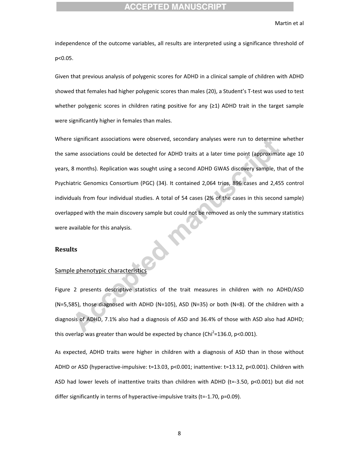#### **CCEPTED MANUSCRIPT**

#### Martin et al

independence of the outcome variables, all results are interpreted using a significance threshold of p<0.05.

Given that previous analysis of polygenic scores for ADHD in a clinical sample of children with ADHD showed that females had higher polygenic scores than males (20), a Student's T-test was used to test whether polygenic scores in children rating positive for any  $(21)$  ADHD trait in the target sample were significantly higher in females than males.

Where significant associations were observed, secondary analyses were run to determine whether the same associations could be detected for ADHD traits at a later time point (approximate age 10 years, 8 months). Replication was sought using a second ADHD GWAS discovery sample, that of the Psychiatric Genomics Consortium (PGC) (34). It contained 2,064 trios, 896 cases and 2,455 control individuals from four individual studies. A total of 54 cases (2% of the cases in this second sample) overlapped with the main discovery sample but could not be removed as only the summary statistics were available for this analysis.

#### **Results-**

#### Sample phenotypic characteristics

Figure 2 presents descriptive statistics of the trait measures in children with no ADHD/ASD (N=5,585), those diagnosed with ADHD (N=105), ASD (N=35) or both (N=8). Of the children with a diagnosis of ADHD, 7.1% also had a diagnosis of ASD and 36.4% of those with ASD also had ADHD; this overlap was greater than would be expected by chance (Chi<sup>2</sup>=136.0, p<0.001).

As expected, ADHD traits were higher in children with a diagnosis of ASD than in those without ADHD or ASD (hyperactive-impulsive: t=13.03, p<0.001; inattentive: t=13.12, p<0.001). Children with ASD had lower levels of inattentive traits than children with ADHD (t=-3.50, p<0.001) but did not differ significantly in terms of hyperactive-impulsive traits (t=-1.70, p=0.09).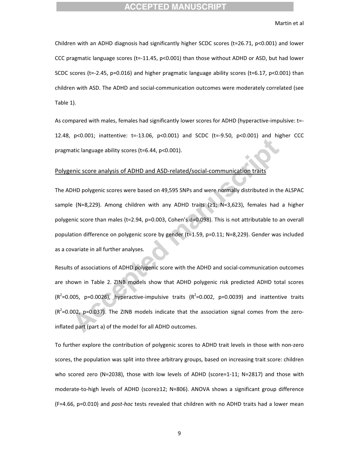#### **CCEPTED MANUSC**

#### Martin et al

Children with an ADHD diagnosis had significantly higher SCDC scores (t=26.71, p<0.001) and lower CCC pragmatic language scores (t=-11.45, p<0.001) than those without ADHD or ASD, but had lower SCDC scores (t=-2.45, p=0.016) and higher pragmatic language ability scores (t=6.17, p<0.001) than children with ASD. The ADHD and social-communication outcomes were moderately correlated (see Table 1).

As compared with males, females had significantly lower scores for ADHD (hyperactive-impulsive: t=-12.48, p<0.001; inattentive: t=-13.06, p<0.001) and SCDC (t=-9.50, p<0.001) and higher CCC pragmatic language ability scores (t=6.44, p<0.001).

#### Polygenic score analysis of ADHD and ASD-related/social-communication traits

The ADHD polygenic scores were based on 49,595 SNPs and were normally distributed in the ALSPAC sample (N=8,229). Among children with any ADHD traits ( $\geq 1$ ; N=3,623), females had a higher polygenic score than males (t=2.94, p=0.003, Cohen's d=0.098). This is not attributable to an overall population difference on polygenic score by gender (t=1.59, p=0.11; N=8,229). Gender was included as a covariate in all further analyses.

Results of associations of ADHD polygenic score with the ADHD and social-communication outcomes are shown in Table 2. ZINB models show that ADHD polygenic risk predicted ADHD total scores  $(R^2=0.005, p=0.0026)$ , hyperactive-impulsive traits  $(R^2=0.002, p=0.0039)$  and inattentive traits  $(R^2=0.002, p=0.037)$ . The ZINB models indicate that the association signal comes from the zeroinflated part (part a) of the model for all ADHD outcomes.

To further explore the contribution of polygenic scores to ADHD trait levels in those with non-zero scores, the population was split into three arbitrary groups, based on increasing trait score: children who scored zero (N=2038), those with low levels of ADHD (score=1-11; N=2817) and those with moderate-to-high levels of ADHD (score≥12; N=806). ANOVA shows a significant group difference (F=4.66, p=0.010) and *post-hoc* tests revealed that children with no ADHD traits had a lower mean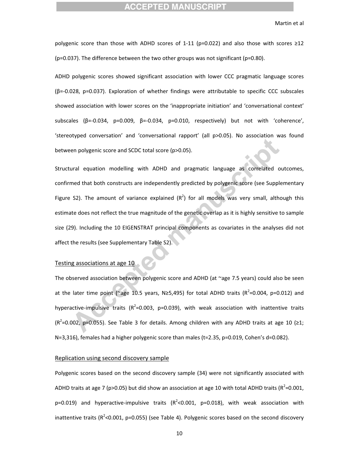#### **CCEPTED MANUSCR**

Martin et al

polygenic score than those with ADHD scores of 1-11 (p=0.022) and also those with scores  $\geq 12$ (p=0.037). The difference between the two other groups was not significant (p=0.80).

ADHD polygenic scores showed significant association with lower CCC pragmatic language scores  $(\beta = -0.028, p = 0.037)$ . Exploration of whether findings were attributable to specific CCC subscales showed association with lower scores on the 'inappropriate initiation' and 'conversational context' subscales ( $\beta$ =-0.034, p=0.009,  $\beta$ =-0.034, p=0.010, respectively) but not with 'coherence', 'stereotyped conversation' and 'conversational rapport' (all p>0.05). No association was found between polygenic score and SCDC total score (p>0.05).

Structural equation modelling with ADHD and pragmatic language as correlated outcomes, confirmed that both constructs are independently predicted by polygenic score (see Supplementary Figure S2). The amount of variance explained  $(R^2)$  for all models was very small, although this estimate does not reflect the true magnitude of the genetic overlap as it is highly sensitive to sample size (29). Including the 10 EIGENSTRAT principal components as covariates in the analyses did not affect the results (see Supplementary Table S2).

#### Testing associations at age 10

The observed association between polygenic score and ADHD (at ~age 7.5 years) could also be seen at the later time point (~age 10.5 years, N≥5,495) for total ADHD traits (R<sup>2</sup>=0.004, p=0.012) and hyperactive-impulsive traits ( $R^2$ =0.003, p=0.039), with weak association with inattentive traits  $(R^2=0.002, p=0.055)$ . See Table 3 for details. Among children with any ADHD traits at age 10 ( $\geq 1$ ; N=3,316), females had a higher polygenic score than males (t=2.35, p=0.019, Cohen's d=0.082).

#### Replication using second discovery sample

Polygenic scores based on the second discovery sample (34) were not significantly associated with ADHD traits at age 7 (p>0.05) but did show an association at age 10 with total ADHD traits (R<sup>2</sup>=0.001, p=0.019) and hyperactive-impulsive traits  $(R^2<0.001, p=0.018)$ , with weak association with inattentive traits ( $R^2$ <0.001, p=0.055) (see Table 4). Polygenic scores based on the second discovery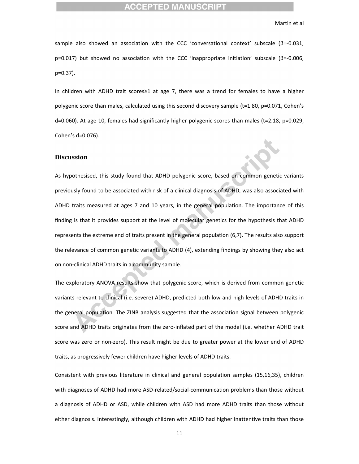#### **CEPTED MANUSCR**

#### Martin et al

sample also showed an association with the CCC 'conversational context' subscale ( $\beta$ =-0.031, p=0.017) but showed no association with the CCC 'inappropriate initiation' subscale ( $\beta$ =-0.006, p=0.37).

In children with ADHD trait scores $\geq 1$  at age 7, there was a trend for females to have a higher polygenic score than males, calculated using this second discovery sample (t=1.80, p=0.071, Cohen's d=0.060). At age 10, females had significantly higher polygenic scores than males (t=2.18, p=0.029, Cohen's d=0.076).

#### **Discussion-**

As hypothesised, this study found that ADHD polygenic score, based on common genetic variants previously found to be associated with risk of a clinical diagnosis of ADHD, was also associated with ADHD traits measured at ages 7 and 10 years, in the general population. The importance of this finding is that it provides support at the level of molecular genetics for the hypothesis that ADHD represents the extreme end of traits present in the general population (6,7). The results also support the relevance of common genetic variants to ADHD (4), extending findings by showing they also act on non-clinical ADHD traits in a community sample.

The exploratory ANOVA results show that polygenic score, which is derived from common genetic variants relevant to clinical (i.e. severe) ADHD, predicted both low and high levels of ADHD traits in the general population. The ZINB analysis suggested that the association signal between polygenic score and ADHD traits originates from the zero-inflated part of the model (i.e. whether ADHD trait score was zero or non-zero). This result might be due to greater power at the lower end of ADHD traits, as progressively fewer children have higher levels of ADHD traits.

Consistent with previous literature in clinical and general population samples (15,16,35), children with diagnoses of ADHD had more ASD-related/social-communication problems than those without a diagnosis of ADHD or ASD, while children with ASD had more ADHD traits than those without either diagnosis. Interestingly, although children with ADHD had higher inattentive traits than those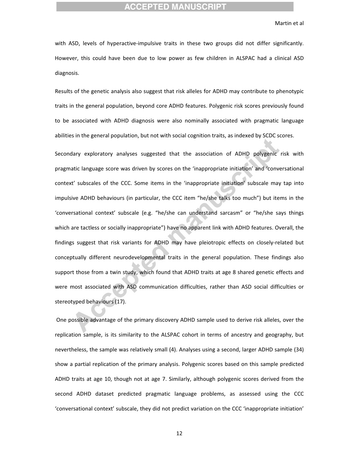#### **CCEPTED MANUSCRI**

#### Martin et al

with ASD, levels of hyperactive-impulsive traits in these two groups did not differ significantly. However, this could have been due to low power as few children in ALSPAC had a clinical ASD diagnosis.

Results of the genetic analysis also suggest that risk alleles for ADHD may contribute to phenotypic traits in the general population, beyond core ADHD features. Polygenic risk scores previously found to be associated with ADHD diagnosis were also nominally associated with pragmatic language abilities in the general population, but not with social cognition traits, as indexed by SCDC scores.

Secondary exploratory analyses suggested that the association of ADHD polygenic risk with pragmatic language score was driven by scores on the 'inappropriate initiation' and 'conversational context' subscales of the CCC. Some items in the 'inappropriate initiation' subscale may tap into impulsive ADHD behaviours (in particular, the CCC item "he/she talks too much") but items in the 'conversational context' subscale (e.g. "he/she can understand sarcasm" or "he/she says things which are tactless or socially inappropriate") have no apparent link with ADHD features. Overall, the findings suggest that risk variants for ADHD may have pleiotropic effects on closely-related but conceptually different neurodevelopmental traits in the general population. These findings also support those from a twin study, which found that ADHD traits at age 8 shared genetic effects and were most associated with ASD communication difficulties, rather than ASD social difficulties or stereotyped behaviours (17).

One possible advantage of the primary discovery ADHD sample used to derive risk alleles, over the replication sample, is its similarity to the ALSPAC cohort in terms of ancestry and geography, but nevertheless, the sample was relatively small (4). Analyses using a second, larger ADHD sample (34) show a partial replication of the primary analysis. Polygenic scores based on this sample predicted ADHD traits at age 10, though not at age 7. Similarly, although polygenic scores derived from the second ADHD dataset predicted pragmatic language problems, as assessed using the CCC 'conversational context' subscale, they did not predict variation on the CCC 'inappropriate initiation'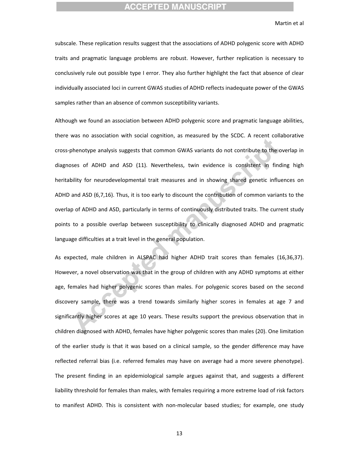#### **CCEPTED MANUSCRIPT**

#### Martin et al

subscale. These replication results suggest that the associations of ADHD polygenic score with ADHD traits and pragmatic language problems are robust. However, further replication is necessary to conclusively rule out possible type I error. They also further highlight the fact that absence of clear individually associated loci in current GWAS studies of ADHD reflects inadequate power of the GWAS samples rather than an absence of common susceptibility variants.

Although we found an association between ADHD polygenic score and pragmatic language abilities, there was no association with social cognition, as measured by the SCDC. A recent collaborative cross-phenotype analysis suggests that common GWAS variants do not contribute to the overlap in diagnoses of ADHD and ASD (11). Nevertheless, twin evidence is consistent in finding high heritability for neurodevelopmental trait measures and in showing shared genetic influences on ADHD and ASD (6,7,16). Thus, it is too early to discount the contribution of common variants to the overlap of ADHD and ASD, particularly in terms of continuously distributed traits. The current study points to a possible overlap between susceptibility to clinically diagnosed ADHD and pragmatic language difficulties at a trait level in the general population.

As expected, male children in ALSPAC had higher ADHD trait scores than females (16,36,37). However, a novel observation was that in the group of children with any ADHD symptoms at either age, females had higher polygenic scores than males. For polygenic scores based on the second discovery sample, there was a trend towards similarly higher scores in females at age 7 and significantly higher scores at age 10 years. These results support the previous observation that in children diagnosed with ADHD, females have higher polygenic scores than males (20). One limitation of the earlier study is that it was based on a clinical sample, so the gender difference may have reflected referral bias (i.e. referred females may have on average had a more severe phenotype). The present finding in an epidemiological sample argues against that, and suggests a different liability threshold for females than males, with females requiring a more extreme load of risk factors to-manifest ADHD. This is consistent with non-molecular based studies; for example, one study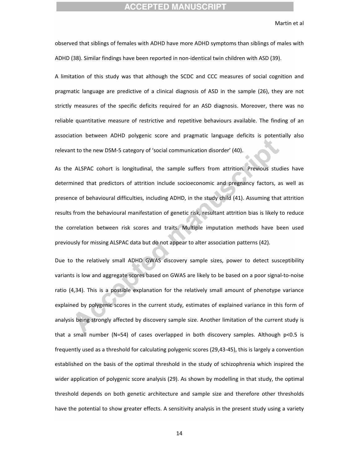#### **CEPTED MANUSCR**

Martin et al

observed that siblings of females with ADHD have more ADHD symptoms than siblings of males with ADHD (38). Similar findings have been reported in non-identical twin children with ASD (39).

A limitation of this study was that although the SCDC and CCC measures of social cognition and pragmatic language are predictive of a clinical diagnosis of ASD in the sample (26), they are not strictly measures of the specific deficits required for an ASD diagnosis. Moreover, there was no reliable quantitative measure of restrictive and repetitive behaviours available. The finding of an association between ADHD polygenic score and pragmatic language deficits is potentially also relevant to the new DSM-5 category of 'social communication disorder' (40).

As the ALSPAC cohort is longitudinal, the sample suffers from attrition. Previous studies have determined that predictors of attrition include socioeconomic and pregnancy factors, as well as presence of behavioural difficulties, including ADHD, in the study child (41). Assuming that attrition results from the behavioural manifestation of genetic risk, resultant attrition bias is likely to reduce the correlation between risk scores and traits. Multiple imputation methods have been used previously for missing ALSPAC data but do not appear to alter association patterns (42).

Due to the relatively small ADHD GWAS discovery sample sizes, power to detect susceptibility variants is low and aggregate scores based on GWAS are likely to be based on a poor signal-to-noise ratio (4,34). This is a possible explanation for the relatively small amount of phenotype variance explained by polygenic scores in the current study, estimates of explained variance in this form of analysis being strongly affected by discovery sample size. Another limitation of the current study is that a small number (N=54) of cases overlapped in both discovery samples. Although p<0.5 is frequently used as a threshold for calculating polygenic scores (29,43-45), this is largely a convention established on the basis of the optimal threshold in the study of schizophrenia which inspired the wider application of polygenic score analysis (29). As shown by modelling in that study, the optimal threshold depends on both genetic architecture and sample size and therefore other thresholds have the potential to show greater effects. A sensitivity analysis in the present study using a variety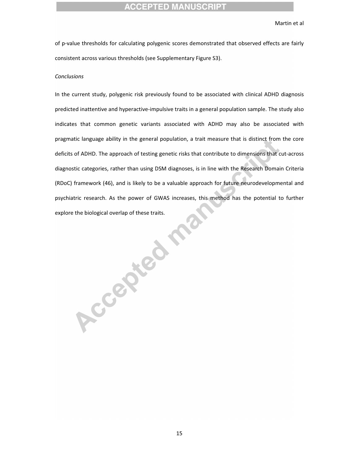#### **ACCEPTED MANUSCRIPT**

#### Martin et al

of p-value thresholds for calculating polygenic scores demonstrated that observed effects are fairly consistent across various thresholds (see Supplementary Figure S3).

#### *Conclusions-*

In the current study, polygenic risk previously found to be associated with clinical ADHD diagnosis predicted inattentive and hyperactive-impulsive traits in a general population sample. The study also indicates that common genetic variants associated with ADHD may also be associated with pragmatic language ability in the general population, a trait measure that is distinct from the core deficits of ADHD. The approach of testing genetic risks that contribute to dimensions that cut-across diagnostic categories, rather than using DSM diagnoses, is in line with the Research Domain Criteria (RDoC) framework (46), and is likely to be a valuable approach for future neurodevelopmental and psychiatric research. As the power of GWAS increases, this method has the potential to further explore the biological overlap of these traits. the biological overlap of these traits.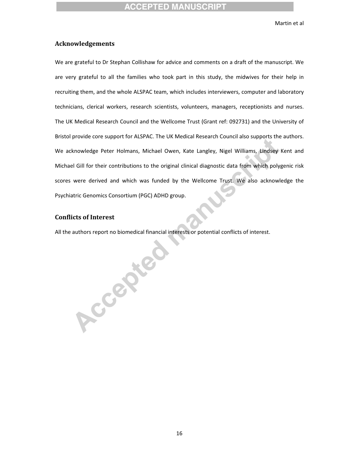#### **ACCEPTED MANUSCRIPT**

Martin et al

#### **Acknowledgements-**

We are grateful to Dr Stephan Collishaw for advice and comments on a draft of the manuscript. We are very grateful to all the families who took part in this study, the midwives for their help in recruiting them, and the whole ALSPAC team, which includes interviewers, computer and laboratory technicians, clerical workers, research scientists, volunteers, managers, receptionists and nurses. The UK Medical Research Council and the Wellcome Trust (Grant ref: 092731) and the University of Bristol provide core support for ALSPAC. The UK Medical Research Council also supports the authors. We acknowledge Peter Holmans, Michael Owen, Kate Langley, Nigel Williams, Lindsey Kent and Michael Gill for their contributions to the original clinical diagnostic data from which polygenic risk scores were derived and which was funded by the Wellcome Trust. We also acknowledge the Psychiatric Genomics Consortium (PGC) ADHD group.

#### **Conflicts-of-Interest-**

Accepted

All the authors report no biomedical financial interests or potential conflicts of interest.

16-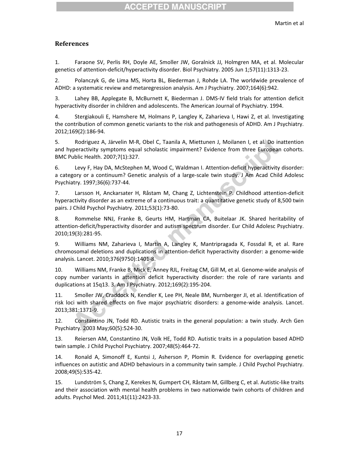#### **References-**

1.-Faraone SV, Perlis RH, Doyle AE, Smoller JW, Goralnick JJ, Holmgren MA, et al. Molecular genetics of attention-deficit/hyperactivity disorder. Biol Psychiatry. 2005 Jun 1;57(11):1313-23.

2.-Polanczyk G, de Lima MS, Horta BL, Biederman J, Rohde LA. The worldwide prevalence of ADHD: a systematic review and metaregression analysis. Am J Psychiatry. 2007;164(6):942.

3.-Lahey BB, Applegate B, McBurnett K, Biederman J. DMS-IV field trials for attention deficit hyperactivity disorder in children and adolescents. The American Journal of Psychiatry. 1994.

4.-Stergiakouli E, Hamshere M, Holmans P, Langley K, Zaharieva I, Hawi Z, et al. Investigating the contribution of common genetic variants to the risk and pathogenesis of ADHD. Am J Psychiatry. 2012;169(2):186-94.

5.-Rodriguez A, Järvelin M-R, Obel C, Taanila A, Miettunen J, Moilanen I, et al. Do inattention and hyperactivity symptoms equal scholastic impairment? Evidence from three European cohorts. BMC Public Health. 2007;7(1):327.

6.-Levy F, Hay DA, McStephen M, Wood C, Waldman I. Attention-deficit hyperactivity disorder: a category or a continuum? Genetic analysis of a large-scale twin study. J Am Acad Child Adolesc Psychiatry. 1997;36(6):737-44.

7.-Larsson H, Anckarsater H, Råstam M, Chang Z, Lichtenstein P. Childhood attention-deficit hyperactivity disorder as an extreme of a continuous trait: a quantitative genetic study of 8,500 twin pairs. J Child Psychol Psychiatry. 2011;53(1):73-80.

8.-Rommelse NNJ, Franke B, Geurts HM, Hartman CA, Buitelaar JK. Shared heritability of attention-deficit/hyperactivity disorder and autism spectrum disorder. Eur Child Adolesc Psychiatry. 2010;19(3):281-95.

9.-Williams NM, Zaharieva I, Martin A, Langley K, Mantripragada K, Fossdal R, et al. Rare chromosomal deletions and duplications in attention-deficit hyperactivity disorder: a genome-wide analysis. Lancet. 2010;376(9750):1401-8.

10.-Williams NM, Franke B, Mick E, Anney RJL, Freitag CM, Gill M, et al. Genome-wide analysis of copy number variants in attention deficit hyperactivity disorder: the role of rare variants and duplications at 15q13. 3. Am J Psychiatry. 2012;169(2):195-204.

11.-Smoller JW, Craddock N, Kendler K, Lee PH, Neale BM, Nurnberger JI, et al. Identification of risk loci with shared effects on five major psychiatric disorders: a genome-wide analysis. Lancet. 2013;381:1371-9.

12.-Constantino JN, Todd RD. Autistic traits in the general population: a twin study. Arch Gen Psychiatry. 2003 May;60(5):524-30.

13.-Reiersen AM, Constantino JN, Volk HE, Todd RD. Autistic traits in a population based ADHD twin sample. J Child Psychol Psychiatry. 2007;48(5):464-72.

14.-Ronald A, Simonoff E, Kuntsi J, Asherson P, Plomin R. Evidence for overlapping genetic influences on autistic and ADHD behaviours in a community twin sample. J Child Psychol Psychiatry. 2008;49(5):53542.-

15.-Lundström S, Chang Z, Kerekes N, Gumpert CH, Råstam M, Gillberg C, et al. Autistic-like traits and their association with mental health problems in two nationwide twin cohorts of children and adults. Psychol Med. 2011;41(11):2423-33.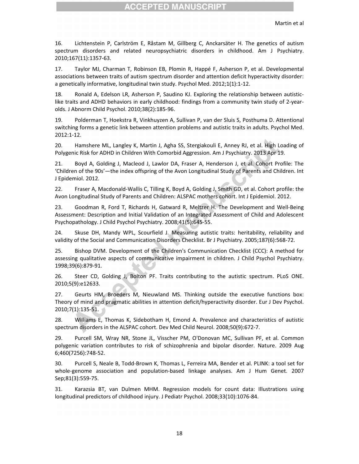16.-Lichtenstein P, Carlström E, Råstam M, Gillberg C, Anckarsäter H. The genetics of autism spectrum disorders and related neuropsychiatric disorders in childhood. Am J Psychiatry. 2010;167(11):1357-63.

17.-Taylor MJ, Charman T, Robinson EB, Plomin R, Happé F, Asherson P, et al. Developmental associations between traits of autism spectrum disorder and attention deficit hyperactivity disorder: a genetically informative, longitudinal twin study. Psychol Med. 2012;1(1):1-12.

18.-Ronald A, Edelson LR, Asherson P, Saudino KJ. Exploring the relationship between autisticlike traits and ADHD behaviors in early childhood: findings from a community twin study of 2-yearolds. J Abnorm Child Psychol. 2010;38(2):185-96.

19.-Polderman T, Hoekstra R, Vinkhuyzen A, Sullivan P, van der Sluis S, Posthuma D. Attentional switching forms a genetic link between attention problems and autistic traits in adults. Psychol Med. 2012:1-12.

20.-Hamshere ML, Langley K, Martin J, Agha SS, Stergiakouli E, Anney RJ, et al. High Loading of Polygenic Risk for ADHD in Children With Comorbid Aggression. Am J Psychiatry. 2013 Apr 19.

21.-Boyd A, Golding J, Macleod J, Lawlor DA, Fraser A, Henderson J, et al. Cohort Profile: The 'Children of the 90s'—the index offspring of the Avon Longitudinal Study of Parents and Children. Int J Epidemiol. 2012.

22.-Fraser A, Macdonald-Wallis C, Tilling K, Boyd A, Golding J, Smith GD, et al. Cohort profile: the Avon Longitudinal Study of Parents and Children: ALSPAC mothers cohort. Int J Epidemiol. 2012.

23.-Goodman-R, Ford T, Richards H, Gatward R, Meltzer H. The Development and Well-Being Assessment: Description and Initial Validation of an Integrated Assessment of Child and Adolescent Psychopathology. J Child Psychol Psychiatry. 2008;41(5):645-55.

24.-Skuse DH, Mandy WPL, Scourfield J. Measuring autistic traits: heritability, reliability and validity of the Social and Communication Disorders Checklist. Br J Psychiatry. 2005;187(6):568-72.

25.-Bishop DVM. Development of the Children's Communication Checklist (CCC): A method for assessing qualitative aspects of communicative impairment in children. J Child Psychol Psychiatry. 1998;39(6):879-91.

26.-Steer CD, Golding J, Bolton PF. Traits contributing to the autistic spectrum. PLoS ONE. 2010;5(9):e12633.-

27.-Geurts HM, Broeders M, Nieuwland MS. Thinking outside the executive functions box: Theory of mind and pragmatic abilities in attention deficit/hyperactivity disorder. Eur J Dev Psychol. 2010;7(1):135-51.

28.-Williams E, Thomas K, Sidebotham H, Emond A. Prevalence and characteristics of autistic spectrum disorders in the ALSPAC cohort. Dev Med Child Neurol. 2008;50(9):672-7.

29.-Purcell SM, Wray NR, Stone JL, Visscher PM, O'Donovan MC, Sullivan PF, et al. Common polygenic variation contributes to risk of schizophrenia and bipolar disorder. Nature. 2009 Aug 6;460(7256):748-52.

30.-Purcell S, Neale B, Todd-Brown K, Thomas L, Ferreira MA, Bender et al. PLINK: a tool set for whole-genome association and population-based linkage analyses. Am J Hum Genet. 2007 Sep;81(3):559-75.

31.-Karazsia BT, van Dulmen MHM. Regression models for count data: Illustrations using longitudinal predictors of childhood injury. J Pediatr Psychol. 2008;33(10):1076-84.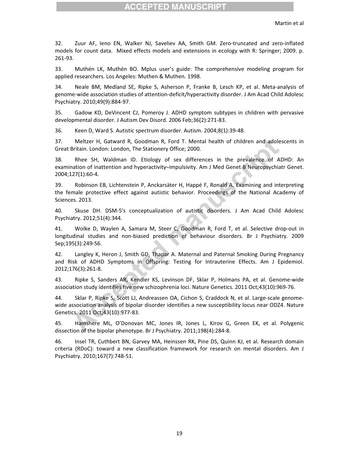#### **ACCEPTED MANUSCRIPT**

32.-Zuur AF, Ieno EN, Walker NJ, Saveliev AA, Smith GM. Zero-truncated and zero-inflated models for count data. Mixed effects models and extensions in ecology with R: Springer; 2009. p. 261-93.

33.-Muthén LK, Muthén BO. Mplus user's guide: The comprehensive modeling program for applied researchers. Los Angeles: Muthen & Muthen. 1998.

34.-Neale BM, Medland SE, Ripke S, Asherson P, Franke B, Lesch KP, et al. Meta-analysis of genome-wide association studies of attention-deficit/hyperactivity disorder. J Am Acad Child Adolesc Psychiatry. 2010;49(9):884-97.

35.-Gadow KD, DeVincent CJ, Pomeroy J. ADHD symptom subtypes in children with pervasive developmental disorder. J Autism Dev Disord. 2006 Feb;36(2):271-83.

36.-Keen D, Ward S. Autistic spectrum disorder. Autism. 2004;8(1):39-48.

37.-Meltzer H, Gatward R, Goodman R, Ford T. Mental health of children and adolescents in Great Britain. London: London, The Stationery Office; 2000.

38.-Rhee SH, Waldman ID. Etiology of sex differences in the prevalence of ADHD: An examination of inattention and hyperactivity-impulsivity. Am J Med Genet B Neuropsychiatr Genet. 2004;127(1):60-4.

39.-Robinson EB, Lichtenstein P, Anckarsäter H, Happé F, Ronald A. Examining and interpreting the female protective effect against autistic behavior. Proceedings of the National Academy of Sciences. 2013.

40.-Skuse DH. DSM-5's conceptualization of autistic disorders. J Am Acad Child Adolesc Psychiatry. 2012;51(4):344.

41.-Wolke D, Waylen A, Samara M, Steer C, Goodman R, Ford T, et al. Selective drop-out in longitudinal studies and non-biased prediction of behaviour disorders. Br J Psychiatry. 2009 Sep;195(3):249-56.

42.-Langley K, Heron J, Smith GD, Thapar A. Maternal and Paternal Smoking During Pregnancy and Risk of ADHD Symptoms in Offspring: Testing for Intrauterine Effects. Am J Epidemiol. 2012;176(3):261-8.

43.-Ripke S, Sanders AR, Kendler KS, Levinson DF, Sklar P, Holmans PA, et al. Genome-wide association study identifies five new schizophrenia loci. Nature Genetics. 2011 Oct;43(10):969-76.

44.-Sklar P, Ripke S, Scott LJ, Andreassen OA, Cichon S, Craddock N, et al. Large-scale genomewide association analysis of bipolar disorder identifies a new susceptibility locus near ODZ4. Nature Genetics. 2011 Oct;43(10):977-83.

45.-Hamshere ML, O'Donovan MC, Jones IR, Jones L, Kirov G, Green EK, et al. Polygenic dissection of the bipolar phenotype. Br J Psychiatry. 2011;198(4):284-8.

46.-Insel TR, Cuthbert BN, Garvey MA, Heinssen RK, Pine DS, Quinn KJ, et al. Research domain criteria (RDoC): toward a new classification framework for research on mental disorders. Am J Psychiatry. 2010;167(7):748-51.

19-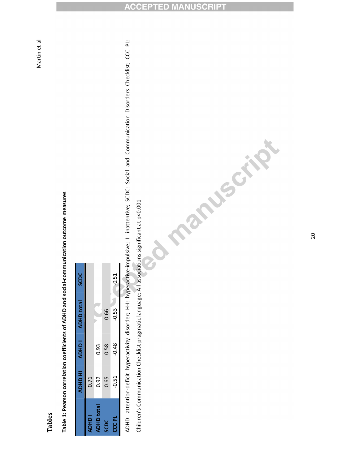# **Tables-**

**Table-**<u>..</u> **Pearsoncorrelationcoefficientsof-ADHDandsocialcommunicationoutcomemeasures-**

|                   | ADHO HI | ADHD I  | <b>ADHD</b> total | <b>SCDC</b> |
|-------------------|---------|---------|-------------------|-------------|
| <b>ADHD</b>       | 0.71    |         |                   |             |
| <b>ADHD total</b> | 0.92    | 0.93    |                   |             |
| <b>SCDC</b>       | 0.65    | 0.58    | 0.66              |             |
| <b>CCC PL</b>     | $-0.51$ | $-0.48$ | -0.53             | $-0.51$     |

ADHD: attentiondeficit hyperactivitydisorder;  $\pm$ hyperactive-impulsive;  $\overline{\phantom{0}}$ inattentive; SCD<br>SCDC: Social and-**Communication Disorders** Checklist; CCC-ن<u>ہ</u><br>ع

Children's Communication-**Checklist** pragmaticlanguage; Allassociationssignificantatp<0.001 d mary soils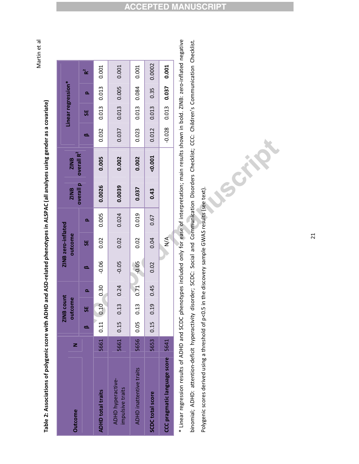Martin- $\vec{c}$  $\overline{a}$ 

> **Table-**..<br>ام **Associationsofpolygenicscorewith-ADHDand-ASDrelatedphenotypes-**<u>ٰء</u> **ALSPAC-(allanalysesusing**gender **as-acovariate)-**

|                                       |      |           | <b>B</b> count<br>$\frac{2}{10}$ |               |         | ZINB zero-inflated |                   |             |                        |       |                            |                   |              |
|---------------------------------------|------|-----------|----------------------------------|---------------|---------|--------------------|-------------------|-------------|------------------------|-------|----------------------------|-------------------|--------------|
| <b>Outcome</b>                        | z    |           | <b>itcome</b><br>ā               |               |         | outcome            |                   | <b>ZINB</b> | <b>SNIZ</b>            |       | Linear regression*         |                   |              |
|                                       |      | œ         | 5                                | $\Omega$      | œ       | 56                 | $\mathbf{\Omega}$ | overall p   | overall R <sup>2</sup> | ø     | 5                          | $\Omega$          | $\mathbf{r}$ |
| <b>ADHD total traits</b>              | 5661 | 0.11      |                                  | $0.10$ $0.30$ | $-0.06$ | 0.02               | 0.005             | 0.0026      | 0.005                  | 0.032 |                            | 0.013 0.013 0.001 |              |
| ADHD hyperactive-<br>impulsive traits | 5661 | 0.15      |                                  | $0.13$ $0.24$ | $-0.05$ | 0.02               | 0.024             | 0.0039      | 0.002                  |       | 0.037 0.013 0.005 0.001    |                   |              |
| <b>ADHD inattentive traits</b>        |      | 5656 0.05 |                                  | $0.13$ $0.71$ | $-0.05$ | 0.02               | 0.019             | 0.037       | 0.002                  |       | 0.023 0.013 0.084 0.001    |                   |              |
| <b>SCDC total score</b>               | 5653 | 0.15      |                                  | $0.19$ $0.45$ | 0.02    | 0.04               | 0.67              | 0.43        | 0.001                  |       | 0.012  0.013  0.35         |                   | 0.0002       |
| <b>CCC pragmatic language score</b>   | 5641 |           |                                  |               |         | $\sum_{i=1}^{n}$   |                   |             |                        |       | $-0.028$ 0.013 0.037 0.001 |                   |              |
|                                       |      |           |                                  |               |         |                    |                   |             |                        |       |                            |                   |              |

\*-Linear regressionresults- $\frac{4}{\sqrt{2}}$ ADHDand-SCDCphenotypesincluded only-.<br>أو ease ้อ interpretation;main resultsshownin<br>bold.<br>Do ZINB:zero-inflated negative binomial;- ADHD: attentiondeficit hyperactivitydisorder; SCDC:<br>SCDC: Social and-**Communication Disorders** Checklist; ن<br>ت Children's Communication- Checklist.-Polygenicscoresderived using-athresholdზ<br>პ p<0.5inthediscoverysample-GWAS results-(seetext).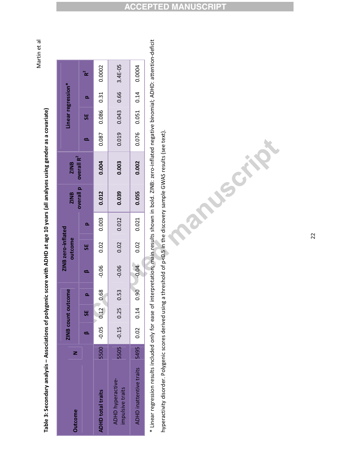Martin- $\vec{c}$  $\overline{a}$ 

> **Table-3:-Secondaryanalysis-–-Associationsofpolygenicscorewith-ADHDatage-**<u>ទ</u> **years-(allanalysesusing**gender **as-acovariate)-**

|                                                              | <b>ZINB count</b> |   |      |                            | ZINB zero-inflated |            |       |                                              |   | Linear regression*       |                          |                      |
|--------------------------------------------------------------|-------------------|---|------|----------------------------|--------------------|------------|-------|----------------------------------------------|---|--------------------------|--------------------------|----------------------|
| <b>Outcome</b>                                               |                   |   |      |                            | outcome            |            |       | ZINB ZINB<br>overall poverall R <sup>2</sup> |   |                          |                          |                      |
|                                                              |                   | 5 | o    | ø                          | ყ<br>ს             | o          |       |                                              | ø | 56                       | $\overline{\phantom{0}}$ | $\tilde{\mathbf{r}}$ |
| <b>ADHD total traits</b>                                     |                   |   |      | 5500 -0.05 0.12 0.68 -0.06 |                    | 0.02 0.003 | 0.012 | 0.004                                        |   | 0.087 0.086 0.31 0.0002  |                          |                      |
| <b>ADHD</b> hyperactive-<br>impulsive traits                 | 5505 -0.15 0.25   |   | 0.53 | $-0.06$                    | 0.02               | 0.012      | 0.039 | 0.003                                        |   | 0.019 0.043 0.66 3.4E-05 |                          |                      |
| ADHD inattentive traits 5495 0.02 0.14 0.90 -0.04 0.02 0.021 |                   |   |      |                            |                    |            | 0.055 | 0.002                                        |   | 0.076 0.051 0.14 0.0004  |                          |                      |
|                                                              |                   |   |      |                            |                    |            |       |                                              |   |                          |                          |                      |

\*-Linear regressionresultsincluded only-.<br>م ease ზ<br>პ interpretation;mainresultsshownin<br>E bold.<br>Dol ZINB: zero-inflated negativebinomial;-ADHD:attentiondeficithyperactivitydisorder. Polygenicscoresderived using-athresholdზ<br>თ p<0.5inthediscoverysample-GWASresults-(seetext).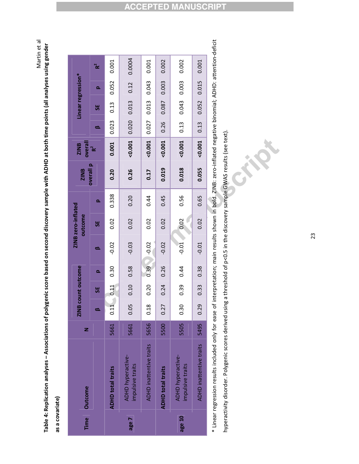Martin- $\vec{c}$  $\overline{a}$ **discoverysamplewith-ADHDatbothtimepoints-(allanalysesusing**gender

> **as-acovariate)-**

**Table-4:-**

**Replication-**

**analyses-–-**

**Associations-**

**of-**

**polygenic-**

**score-**

**based** 

**on-**

**second-**

| 0.023<br>0.13<br>0.027<br>0.020<br>0.13<br>0.26<br>ø<br>0.001<br>0.001<br>0.001<br>0.001<br>0.001<br>0.001<br>$over all$ $R^2$<br>overall p<br>0.018<br>0.055<br>0.019<br>0.26<br>0.20<br>0.17<br>0.338<br>0.56<br>0.20<br>0.44<br>0.45<br>0.65<br>Ω<br>$-0.01$ 0.02<br>0.02<br>0.02<br>0.02<br>0.02<br>0.02<br>56<br>$-0.02$<br>$-0.03$<br>$-0.02$<br>$-0.01$<br>$-0.02$<br>ø<br>0.39<br>0.58<br>0.44<br>0.38<br>0.30<br>0.26<br>o.<br>0.39<br>$1 - 0.11$<br>0.33<br>0.20<br>0.10<br>0.24<br>56<br>0.29<br>0.18<br>0.30<br>0.05<br>0.27<br>0.11<br>ø<br>5661<br>5505<br>5495<br>5661<br>5656<br>5500<br><b>ADHD</b> inattentive traits<br><b>ADHD</b> inattentive traits<br><b>ADHD</b> hyperactive-<br><b>ADHD</b> hyperactive-<br>impulsive traits<br>impulsive traits<br><b>ADHD total traits</b><br><b>ADHD total traits</b><br>age 10<br>age 7 | Time | <b>Outcome</b> | Z | $\frac{1}{2}$ | <b>B</b> count outcome |  | ZINB zero-inflated<br>outcome | ZINB | ZINB |       | Linear regression* |                      |
|------------------------------------------------------------------------------------------------------------------------------------------------------------------------------------------------------------------------------------------------------------------------------------------------------------------------------------------------------------------------------------------------------------------------------------------------------------------------------------------------------------------------------------------------------------------------------------------------------------------------------------------------------------------------------------------------------------------------------------------------------------------------------------------------------------------------------------------------------|------|----------------|---|---------------|------------------------|--|-------------------------------|------|------|-------|--------------------|----------------------|
|                                                                                                                                                                                                                                                                                                                                                                                                                                                                                                                                                                                                                                                                                                                                                                                                                                                      |      |                |   |               |                        |  |                               |      |      | 56    | o,                 | $\tilde{\mathbf{r}}$ |
|                                                                                                                                                                                                                                                                                                                                                                                                                                                                                                                                                                                                                                                                                                                                                                                                                                                      |      |                |   |               |                        |  |                               |      |      | 0.13  | 0.052              | 0.001                |
|                                                                                                                                                                                                                                                                                                                                                                                                                                                                                                                                                                                                                                                                                                                                                                                                                                                      |      |                |   |               |                        |  |                               |      |      | 0.013 | 0.12               | 0.0004               |
|                                                                                                                                                                                                                                                                                                                                                                                                                                                                                                                                                                                                                                                                                                                                                                                                                                                      |      |                |   |               |                        |  |                               |      |      | 0.013 | 0.043              | 0.001                |
|                                                                                                                                                                                                                                                                                                                                                                                                                                                                                                                                                                                                                                                                                                                                                                                                                                                      |      |                |   |               |                        |  |                               |      |      | 0.087 | 0.003              | 0.002                |
|                                                                                                                                                                                                                                                                                                                                                                                                                                                                                                                                                                                                                                                                                                                                                                                                                                                      |      |                |   |               |                        |  |                               |      |      | 0.043 | 0.003              | 0.002                |
|                                                                                                                                                                                                                                                                                                                                                                                                                                                                                                                                                                                                                                                                                                                                                                                                                                                      |      |                |   |               |                        |  |                               |      |      | 0.052 | 0.015              | 0.001                |

attentiondeficit-ADHD:binomial;negative-Cript text). (seezero-inflated results-GWAS-ZINB:samplebold.indiscoveryshownresultstheinp<0.5mainზ<br>თ interpretation;thresholdusing-aზ<br>პ ease derived .<br>م onlyscoresincluded-Polygenicresultsdisorder. regressionhyperactivity-Linear-\*-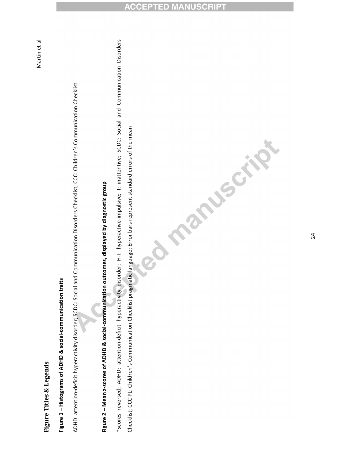### Martin- $\vec{c}$  $\overline{a}$

# **Figure-1-–-Histogramsof-ADHD-&socialcommunicationtraits-**

ADHD:attentiondeficithyperactivitydisorder; SCDC:-Socialand-Communication-Disorders-Checklist; ن<br>CC Children's Communication-**Checklist** 

# **Figure-2-–-Meanzscoresof-ADHD-&socialcommunication**outcomes, **displayed-**ً<br>**b diagnosticgroup-**

\*Scoresreversed; ADHD: attentiondeficit hyperactivitydisorder;  $\ddot{\pm}$ hyperactive-impulsive;  $\cdot$ inattentive; SCDC:- Social and- Communication-**Disorders** Checklist; CCC-ن<u>ہ</u><br>عا Children's Communication-**Checklist** pragmaticlanguage; **Error** barsrepresent standarderrors- $\frac{4}{\sqrt{2}}$ themean-

J. Manuschip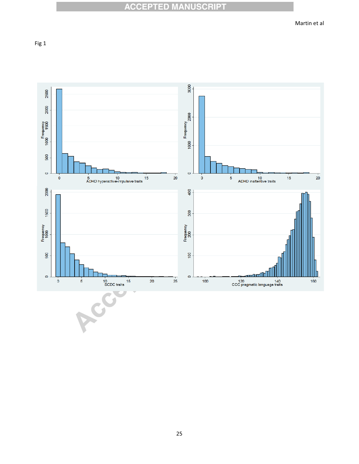### **ACCEPTED MANUSCRIPT**

Fig 1